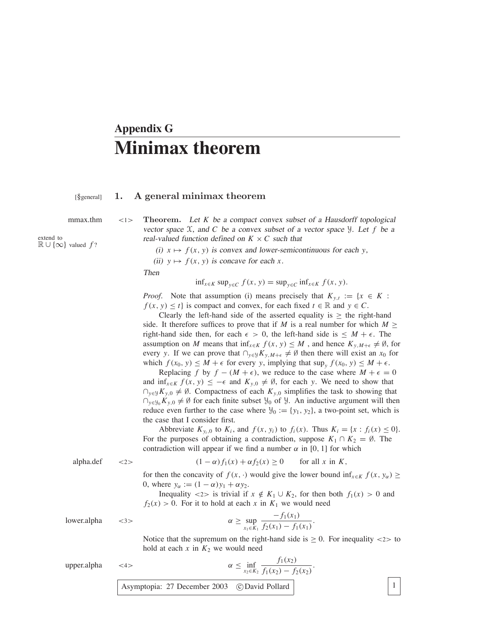## **Appendix G Minimax theorem**

## [§general] **1. A general minimax theorem**

 $\mathbb{R} \cup \{\infty\}$  valued  $f$ ?

mmax.thm <1> **Theorem.** Let *K* be a compact convex subset of a Hausdorff topological vector space  $X$ , and  $C$  be a convex subset of a vector space  $Y$ . Let  $f$  be a  $R \times C$  such that extend to

(i)  $x \mapsto f(x, y)$  is convex and lower-semicontinuous for each *y*,

(ii)  $y \mapsto f(x, y)$  is concave for each *x*.

Then

$$
\inf_{x \in K} \sup_{y \in C} f(x, y) = \sup_{y \in C} \inf_{x \in K} f(x, y).
$$

*Proof.* Note that assumption (i) means precisely that  $K_{y,t} := \{x \in K :$  $f(x, y) \leq t$  is compact and convex, for each fixed  $t \in \mathbb{R}$  and  $y \in C$ .

Clearly the left-hand side of the asserted equality is  $\geq$  the right-hand side. It therefore suffices to prove that if *M* is a real number for which  $M \geq$ right-hand side then, for each  $\epsilon > 0$ , the left-hand side is  $\leq M + \epsilon$ . The assumption on *M* means that inf<sub>*x*∈*K*</sub>  $f(x, y) \leq M$ , and hence  $K_{y,M+\epsilon} \neq \emptyset$ , for every *y*. If we can prove that  $\bigcap_{y\in\mathcal{Y}} K_{y,M+\epsilon} \neq \emptyset$  then there will exist an *x*<sub>0</sub> for which  $f(x_0, y) \leq M + \epsilon$  for every *y*, implying that  $\sup_y f(x_0, y) \leq M + \epsilon$ .

Replacing *f* by  $f - (M + \epsilon)$ , we reduce to the case where  $M + \epsilon = 0$ and  $\inf_{x \in K} f(x, y) \leq -\epsilon$  and  $K_{y,0} \neq \emptyset$ , for each *y*. We need to show that  $∩_{y∈y} K_{y,0} \neq \emptyset$ . Compactness of each  $K_{y,0}$  simplifies the task to showing that  $\bigcap_{v \in \mathcal{Y}_0} K_{v,0} \neq \emptyset$  for each finite subset  $\mathcal{Y}_0$  of  $\mathcal{Y}_1$ . An inductive argument will then reduce even further to the case where  $\mathcal{Y}_0 := \{y_1, y_2\}$ , a two-point set, which is the case that I consider first.

Abbreviate  $K_{y_i,0}$  to  $K_i$ , and  $f(x, y_i)$  to  $f_i(x)$ . Thus  $K_i = \{x : f_i(x) \le 0\}.$ For the purposes of obtaining a contradiction, suppose  $K_1 \cap K_2 = \emptyset$ . The contradiction will appear if we find a number  $\alpha$  in [0, 1] for which

$$
alpha. \text{def} \qquad \text{<2>} \qquad \qquad (1 - \alpha) f_1(x) + \alpha f_2(x) \ge 0 \qquad \text{for all } x \text{ in } K,
$$

for then the concavity of  $f(x, \cdot)$  would give the lower bound  $\inf_{x \in K} f(x, y_\alpha) \ge$ 0, where  $y_\alpha := (1 - \alpha)y_1 + \alpha y_2$ .

Inequality <2> is trivial if  $x \notin K_1 \cup K_2$ , for then both  $f_1(x) > 0$  and  $f_2(x) > 0$ . For it to hold at each *x* in  $K_1$  we would need

lower.alpha  $\langle 3 \rangle$   $\alpha$ 

$$
\geq \sup_{x_1 \in K_1} \frac{-f_1(x_1)}{f_2(x_1) - f_1(x_1)}.
$$

Notice that the supremum on the right-hand side is  $\geq 0$ . For inequality <2> to hold at each  $x$  in  $K_2$  we would need

.

upper.alpha  $\lt$ 4>

$$
\alpha \le \inf_{x_2 \in K_2} \frac{f_1(x_2)}{f_1(x_2) - f_2(x_2)}
$$

Asymptopia: 27 December 2003 c David Pollard 1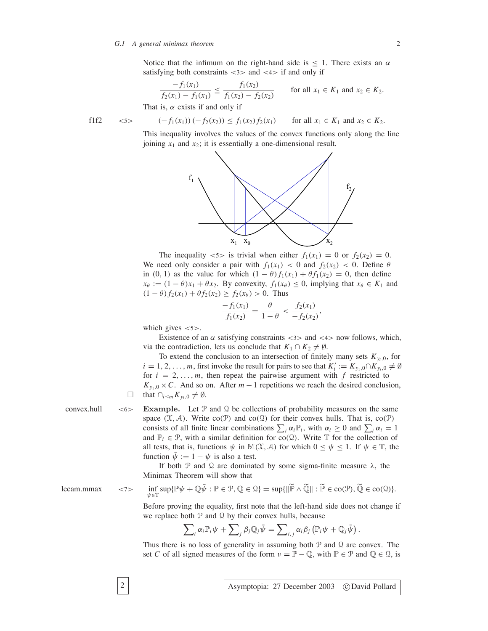Notice that the infimum on the right-hand side is  $\leq 1$ . There exists an  $\alpha$ satisfying both constraints  $\langle 3 \rangle$  and  $\langle 4 \rangle$  if and only if

$$
\frac{-f_1(x_1)}{f_2(x_1) - f_1(x_1)} \le \frac{f_1(x_2)}{f_1(x_2) - f_2(x_2)} \qquad \text{for all } x_1 \in K_1 \text{ and } x_2 \in K_2.
$$
  
is,  $\alpha$  exists if and only if

That

$$
f1f2 \quad \text{<5>} \quad (-f_1(x_1)) \, (-f_2(x_2)) \le f_1(x_2) f_2(x_1) \quad \text{for all } x_1 \in K_1 \text{ and } x_2 \in K_2.
$$

This inequality involves the values of the convex functions only along the line joining  $x_1$  and  $x_2$ ; it is essentially a one-dimensional result.



The inequality  $\langle 5 \rangle$  is trivial when either  $f_1(x_1) = 0$  or  $f_2(x_2) = 0$ . We need only consider a pair with  $f_1(x_1) < 0$  and  $f_2(x_2) < 0$ . Define  $\theta$ in (0, 1) as the value for which  $(1 - \theta) f_1(x_1) + \theta f_1(x_2) = 0$ , then define  $x_{\theta} := (1 - \theta)x_1 + \theta x_2$ . By convexity,  $f_1(x_{\theta}) \le 0$ , implying that  $x_{\theta} \in K_1$  and  $(1 - \theta) f_2(x_1) + \theta f_2(x_2) \ge f_2(x_\theta) > 0$ . Thus

$$
\frac{-f_1(x_1)}{f_1(x_2)} = \frac{\theta}{1-\theta} < \frac{f_2(x_1)}{-f_2(x_2)},
$$

which gives  $\langle 5 \rangle$ .

Existence of an  $\alpha$  satisfying constraints <3> and <4> now follows, which, via the contradiction, lets us conclude that  $K_1 \cap K_2 \neq \emptyset$ .

To extend the conclusion to an intersection of finitely many sets  $K_{v_i,0}$ , for  $i = 1, 2, \ldots, m$ , first invoke the result for pairs to see that  $K_i' := K_{y_1,0} \cap K_{y_i,0} \neq \emptyset$ for  $i = 2, \ldots, m$ , then repeat the pairwise argument with  $f$  restricted to  $K_{y_1,0} \times C$ . And so on. After  $m-1$  repetitions we reach the desired conclusion,  $\Box$  that  $\bigcap_{i \le m} K_{\nu_i,0} \neq \emptyset$ .

convex.hull  $\lt$ 6> **Example.** Let  $P$  and  $Q$  be collections of probability measures on the same space  $(\mathfrak{X}, \mathcal{A})$ . Write co( $\mathfrak{P}$ ) and co( $\mathfrak{Q}$ ) for their convex hulls. That is, co( $\mathfrak{P}$ ) consists of all finite linear combinations  $\sum_i \alpha_i \mathbb{P}_i$ , with  $\alpha_i \geq 0$  and  $\sum_i \alpha_i = 1$ and  $\mathbb{P}_i \in \mathcal{P}$ , with a similar definition for co(Q). Write  $\mathbb{T}$  for the collection of all tests, that is, functions  $\psi$  in  $\mathbb{M}(\mathcal{X}, \mathcal{A})$  for which  $0 \leq \psi \leq 1$ . If  $\psi \in \mathbb{T}$ , the function  $\bar{\psi} := 1 - \psi$  is also a test.

> If both  $P$  and  $Q$  are dominated by some sigma-finite measure  $\lambda$ , the Minimax Theorem will show that

$$
lecam.mmax \t<7>
$$

$$
\inf_{\psi \in \mathbb{T}} \sup \{ \mathbb{P}\psi + \mathbb{Q}\bar{\psi} : \mathbb{P} \in \mathcal{P}, \mathbb{Q} \in \mathcal{Q} \} = \sup \{ \|\widetilde{\mathbb{P}} \wedge \widetilde{\mathbb{Q}}\| : \widetilde{\mathbb{P}} \in \text{co}(\mathcal{P}), \widetilde{\mathbb{Q}} \in \text{co}(\mathcal{Q}) \}.
$$

Before proving the equality, first note that the left-hand side does not change if we replace both  $P$  and  $Q$  by their convex hulls, because

$$
\sum\nolimits_i \alpha_i \mathbb{P}_i \psi + \sum\nolimits_j \beta_j \mathbb{Q}_j \bar{\psi} = \sum\nolimits_{i,j} \alpha_i \beta_j \left( \mathbb{P}_i \psi + \mathbb{Q}_j \bar{\psi} \right).
$$

Thus there is no loss of generality in assuming both  $P$  and  $Q$  are convex. The set *C* of all signed measures of the form  $\nu = \mathbb{P} - \mathbb{Q}$ , with  $\mathbb{P} \in \mathcal{P}$  and  $\mathbb{Q} \in \mathcal{Q}$ , is

2 Asymptopia: 27 December 2003 c David Pollard